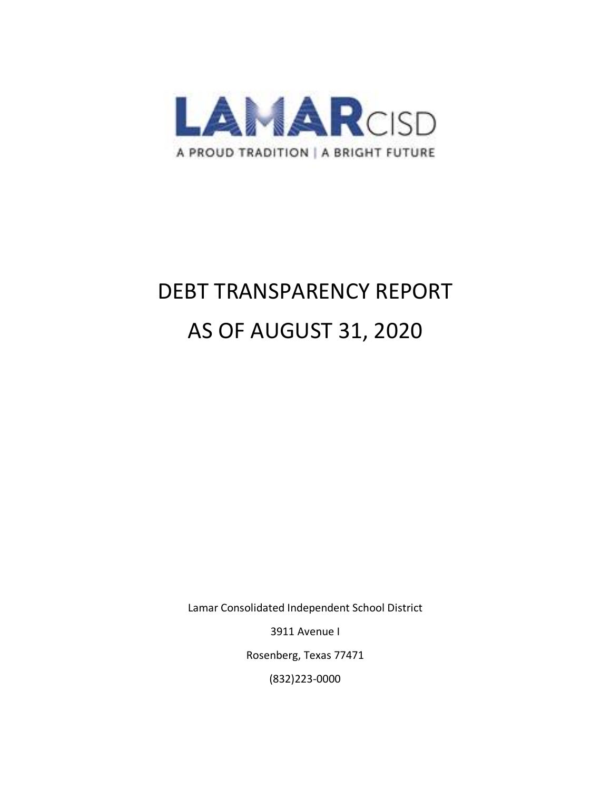

# DEBT TRANSPARENCY REPORT AS OF AUGUST 31, 2020

Lamar Consolidated Independent School District

3911 Avenue I

Rosenberg, Texas 77471

(832)223-0000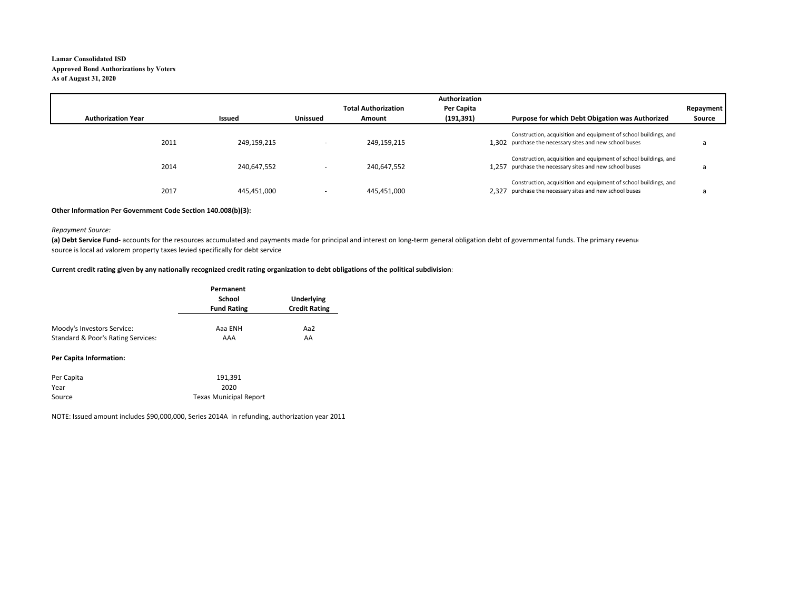#### **Lamar Consolidated ISDApproved Bond Authorizations by Voters As of August 31, 2020**

|                           |             |                          |                            | Authorization |                                                                                                                             |           |
|---------------------------|-------------|--------------------------|----------------------------|---------------|-----------------------------------------------------------------------------------------------------------------------------|-----------|
|                           |             |                          | <b>Total Authorization</b> | Per Capita    |                                                                                                                             | Repayment |
| <b>Authorization Year</b> | Issued      | <b>Unissued</b>          | Amount                     | (191, 391)    | Purpose for which Debt Obigation was Authorized                                                                             | Source    |
| 2011                      | 249,159,215 | $\overline{\phantom{a}}$ | 249,159,215                |               | Construction, acquisition and equipment of school buildings, and<br>1.302 purchase the necessary sites and new school buses |           |
| 2014                      | 240,647,552 | ٠                        | 240,647,552                |               | Construction, acquisition and equipment of school buildings, and<br>1.257 purchase the necessary sites and new school buses |           |
| 2017                      | 445,451,000 | ۰                        | 445,451,000                |               | Construction, acquisition and equipment of school buildings, and<br>2,327 purchase the necessary sites and new school buses |           |

#### **Other Information Per Government Code Section 140.008(b)(3):**

#### *Repayment Source:*

(a) Debt Service Fund- accounts for the resources accumulated and payments made for principal and interest on long-term general obligation debt of governmental funds. The primary revenue source is local ad valorem property taxes levied specifically for debt service

#### **Current credit rating given by any nationally recognized credit rating organization to debt obligations of the political subdivision:**

|                                    | Permanent          |                      |
|------------------------------------|--------------------|----------------------|
|                                    | School             | Underlying           |
|                                    | <b>Fund Rating</b> | <b>Credit Rating</b> |
| Moody's Investors Service:         | Aaa ENH            | Aa2                  |
|                                    |                    |                      |
| Standard & Poor's Rating Services: | AAA                | AA                   |

#### **Per Capita Information:**

| Per Capita | 191.391                       |
|------------|-------------------------------|
| Year       | 2020                          |
| Source     | <b>Texas Municipal Report</b> |

NOTE: Issued amount includes \$90,000,000, Series 2014A in refunding, authorization year 2011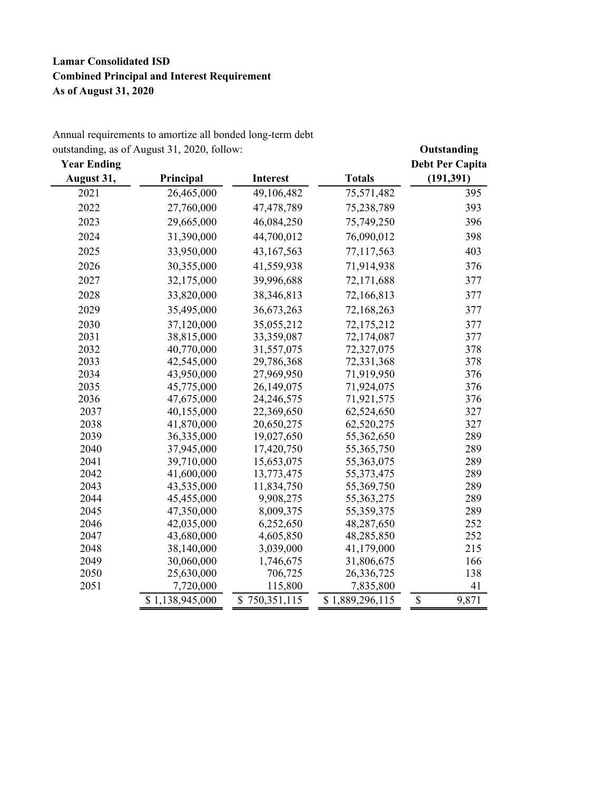## **Lamar Consolidated ISD Combined Principal and Interest Requirement As of August 31, 2020**

| <b>Year Ending</b> | outstanding, as of August $31, 2020, 10110W$ . |                 |                 | Outstanding<br><b>Debt Per Capita</b> |
|--------------------|------------------------------------------------|-----------------|-----------------|---------------------------------------|
| August 31,         | Principal                                      | <b>Interest</b> | <b>Totals</b>   | (191, 391)                            |
| 2021               | 26,465,000                                     | 49,106,482      | 75,571,482      | 395                                   |
| 2022               | 27,760,000                                     | 47,478,789      | 75,238,789      | 393                                   |
| 2023               | 29,665,000                                     | 46,084,250      | 75,749,250      | 396                                   |
| 2024               | 31,390,000                                     | 44,700,012      | 76,090,012      | 398                                   |
| 2025               | 33,950,000                                     | 43,167,563      | 77,117,563      | 403                                   |
| 2026               | 30,355,000                                     | 41,559,938      | 71,914,938      | 376                                   |
| 2027               | 32,175,000                                     | 39,996,688      | 72,171,688      | 377                                   |
| 2028               | 33,820,000                                     | 38, 346, 813    | 72,166,813      | 377                                   |
|                    |                                                |                 |                 |                                       |
| 2029               | 35,495,000                                     | 36,673,263      | 72,168,263      | 377                                   |
| 2030               | 37,120,000                                     | 35,055,212      | 72,175,212      | 377                                   |
| 2031               | 38,815,000                                     | 33,359,087      | 72,174,087      | 377                                   |
| 2032               | 40,770,000                                     | 31,557,075      | 72,327,075      | 378                                   |
| 2033               | 42,545,000                                     | 29,786,368      | 72,331,368      | 378                                   |
| 2034               | 43,950,000                                     | 27,969,950      | 71,919,950      | 376                                   |
| 2035               | 45,775,000                                     | 26,149,075      | 71,924,075      | 376                                   |
| 2036               | 47,675,000                                     | 24,246,575      | 71,921,575      | 376                                   |
| 2037               | 40,155,000                                     | 22,369,650      | 62,524,650      | 327                                   |
| 2038               | 41,870,000                                     | 20,650,275      | 62,520,275      | 327                                   |
| 2039               | 36,335,000                                     | 19,027,650      | 55,362,650      | 289                                   |
| 2040               | 37,945,000                                     | 17,420,750      | 55,365,750      | 289                                   |
| 2041               | 39,710,000                                     | 15,653,075      | 55,363,075      | 289                                   |
| 2042               | 41,600,000                                     | 13,773,475      | 55, 373, 475    | 289                                   |
| 2043               | 43,535,000                                     | 11,834,750      | 55,369,750      | 289                                   |
| 2044               | 45,455,000                                     | 9,908,275       | 55, 363, 275    | 289                                   |
| 2045               | 47,350,000                                     | 8,009,375       | 55,359,375      | 289                                   |
| 2046               | 42,035,000                                     | 6,252,650       | 48,287,650      | 252                                   |
| 2047               | 43,680,000                                     | 4,605,850       | 48,285,850      | 252                                   |
| 2048               | 38,140,000                                     | 3,039,000       | 41,179,000      | 215                                   |
| 2049               | 30,060,000                                     | 1,746,675       | 31,806,675      | 166                                   |
| 2050               | 25,630,000                                     | 706,725         | 26,336,725      | 138                                   |
| 2051               | 7,720,000                                      | 115,800         | 7,835,800       | 41                                    |
|                    | \$1,138,945,000                                | \$750,351,115   | \$1,889,296,115 | $\mathbb{S}$<br>9,871                 |

Annual requirements to amortize all bonded long-term debt outstanding, as of August 31, 2020, follow: **Outstanding**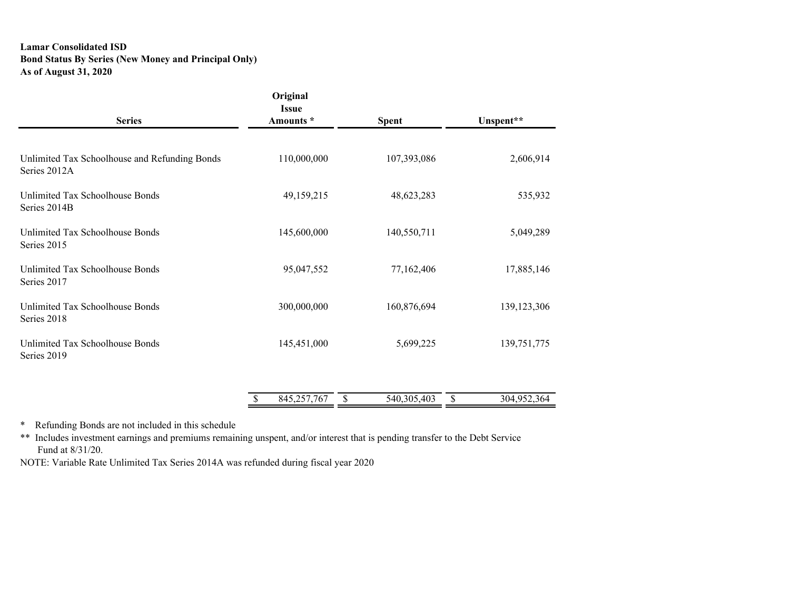### **Lamar Consolidated ISD Bond Status By Series (New Money and Principal Only) As of August 31, 2020**

| <b>Series</b>                                                 | Original<br><b>Issue</b><br>Amounts * | <b>Spent</b>      | Unspent**         |
|---------------------------------------------------------------|---------------------------------------|-------------------|-------------------|
|                                                               |                                       |                   |                   |
| Unlimited Tax Schoolhouse and Refunding Bonds<br>Series 2012A | 110,000,000                           | 107,393,086       | 2,606,914         |
| Unlimited Tax Schoolhouse Bonds<br>Series 2014B               | 49,159,215                            | 48,623,283        | 535,932           |
| Unlimited Tax Schoolhouse Bonds<br>Series 2015                | 145,600,000                           | 140,550,711       | 5,049,289         |
| Unlimited Tax Schoolhouse Bonds<br>Series 2017                | 95,047,552                            | 77,162,406        | 17,885,146        |
| Unlimited Tax Schoolhouse Bonds<br>Series 2018                | 300,000,000                           | 160,876,694       | 139, 123, 306     |
| Unlimited Tax Schoolhouse Bonds<br>Series 2019                | 145,451,000                           | 5,699,225         | 139,751,775       |
|                                                               |                                       |                   |                   |
|                                                               | 845,257,767                           | \$<br>540,305,403 | \$<br>304,952,364 |

\* Refunding Bonds are not included in this schedule

\*\* Includes investment earnings and premiums remaining unspent, and/or interest that is pending transfer to the Debt Service Fund at 8/31/20.

NOTE: Variable Rate Unlimited Tax Series 2014A was refunded during fiscal year 2020